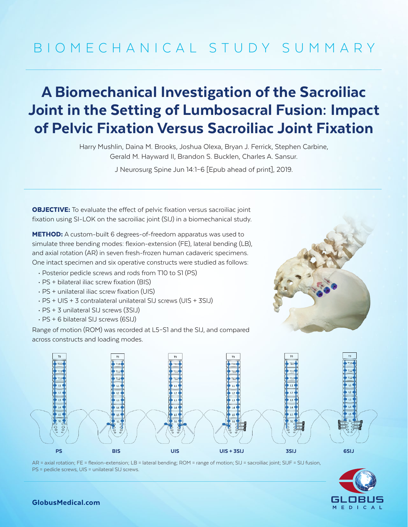# BIOMECHANICAL STUDY SUMMARY

## A Biomechanical Investigation of the Sacroiliac Joint in the Setting of Lumbosacral Fusion: Impact of Pelvic Fixation Versus Sacroiliac Joint Fixation

Harry Mushlin, Daina M. Brooks, Joshua Olexa, Bryan J. Ferrick, Stephen Carbine, Gerald M. Hayward II, Brandon S. Bucklen, Charles A. Sansur.

J Neurosurg Spine Jun 14:1–6 [Epub ahead of print], 2019.

**OBJECTIVE:** To evaluate the effect of pelvic fixation versus sacroiliac joint fixation using SI-LOK on the sacroiliac joint (SIJ) in a biomechanical study.

METHOD: A custom-built 6 degrees-of-freedom apparatus was used to simulate three bending modes: flexion-extension (FE), lateral bending (LB), and axial rotation (AR) in seven fresh-frozen human cadaveric specimens. One intact specimen and six operative constructs were studied as follows:

- Posterior pedicle screws and rods from T10 to S1 (PS)
- PS + bilateral iliac screw fixation (BIS)
- PS + unilateral iliac screw fixation (UIS)
- PS + UIS + 3 contralateral unilateral SIJ screws (UIS + 3SIJ)
- PS + 3 unilateral SIJ screws (3SIJ)
- PS + 6 bilateral SIJ screws (6SIJ)

Range of motion (ROM) was recorded at L5–S1 and the SIJ, and compared across constructs and loading modes.





AR = axial rotation; FE = flexion-extension; LB = lateral bending; ROM = range of motion; SIJ = sacroiliac joint; SIJF = SIJ fusion, PS = pedicle screws, UIS = unilateral SIJ screws.



### GlobusMedical.com